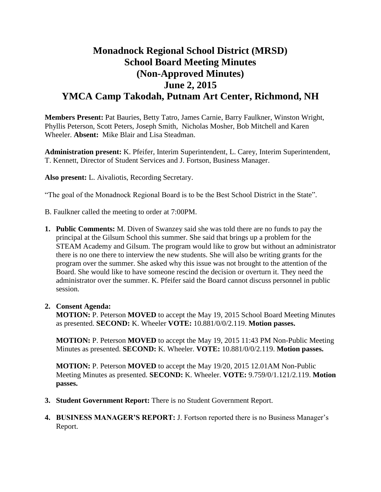# **Monadnock Regional School District (MRSD) School Board Meeting Minutes (Non-Approved Minutes) June 2, 2015 YMCA Camp Takodah, Putnam Art Center, Richmond, NH**

**Members Present:** Pat Bauries, Betty Tatro, James Carnie, Barry Faulkner, Winston Wright, Phyllis Peterson, Scott Peters, Joseph Smith, Nicholas Mosher, Bob Mitchell and Karen Wheeler. **Absent:** Mike Blair and Lisa Steadman.

**Administration present:** K. Pfeifer, Interim Superintendent, L. Carey, Interim Superintendent, T. Kennett, Director of Student Services and J. Fortson, Business Manager.

**Also present:** L. Aivaliotis, Recording Secretary.

"The goal of the Monadnock Regional Board is to be the Best School District in the State".

B. Faulkner called the meeting to order at 7:00PM.

**1. Public Comments:** M. Diven of Swanzey said she was told there are no funds to pay the principal at the Gilsum School this summer. She said that brings up a problem for the STEAM Academy and Gilsum. The program would like to grow but without an administrator there is no one there to interview the new students. She will also be writing grants for the program over the summer. She asked why this issue was not brought to the attention of the Board. She would like to have someone rescind the decision or overturn it. They need the administrator over the summer. K. Pfeifer said the Board cannot discuss personnel in public session.

#### **2. Consent Agenda:**

**MOTION:** P. Peterson **MOVED** to accept the May 19, 2015 School Board Meeting Minutes as presented. **SECOND:** K. Wheeler **VOTE:** 10.881/0/0/2.119. **Motion passes.** 

**MOTION:** P. Peterson **MOVED** to accept the May 19, 2015 11:43 PM Non-Public Meeting Minutes as presented. **SECOND:** K. Wheeler. **VOTE:** 10.881/0/0/2.119. **Motion passes.** 

**MOTION:** P. Peterson **MOVED** to accept the May 19/20, 2015 12.01AM Non-Public Meeting Minutes as presented. **SECOND:** K. Wheeler. **VOTE:** 9.759/0/1.121/2.119. **Motion passes.** 

- **3. Student Government Report:** There is no Student Government Report.
- **4. BUSINESS MANAGER'S REPORT:** J. Fortson reported there is no Business Manager's Report.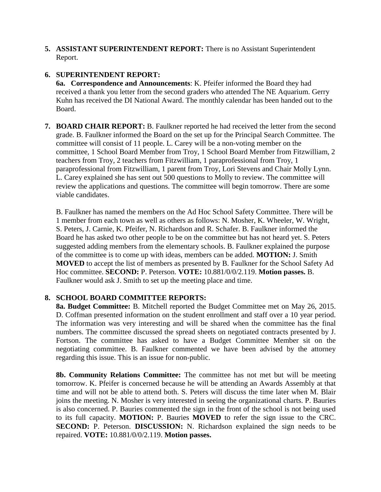**5. ASSISTANT SUPERINTENDENT REPORT:** There is no Assistant Superintendent Report.

## **6. SUPERINTENDENT REPORT:**

**6a. Correspondence and Announcements**: K. Pfeifer informed the Board they had received a thank you letter from the second graders who attended The NE Aquarium. Gerry Kuhn has received the DI National Award. The monthly calendar has been handed out to the Board.

**7. BOARD CHAIR REPORT:** B. Faulkner reported he had received the letter from the second grade. B. Faulkner informed the Board on the set up for the Principal Search Committee. The committee will consist of 11 people. L. Carey will be a non-voting member on the committee, 1 School Board Member from Troy, 1 School Board Member from Fitzwilliam, 2 teachers from Troy, 2 teachers from Fitzwilliam, 1 paraprofessional from Troy, 1 paraprofessional from Fitzwilliam, 1 parent from Troy, Lori Stevens and Chair Molly Lynn. L. Carey explained she has sent out 500 questions to Molly to review. The committee will review the applications and questions. The committee will begin tomorrow. There are some viable candidates.

B. Faulkner has named the members on the Ad Hoc School Safety Committee. There will be 1 member from each town as well as others as follows: N. Mosher, K. Wheeler, W. Wright, S. Peters, J. Carnie, K. Pfeifer, N. Richardson and R. Schafer. B. Faulkner informed the Board he has asked two other people to be on the committee but has not heard yet. S. Peters suggested adding members from the elementary schools. B. Faulkner explained the purpose of the committee is to come up with ideas, members can be added. **MOTION:** J. Smith **MOVED** to accept the list of members as presented by B. Faulkner for the School Safety Ad Hoc committee. **SECOND:** P. Peterson. **VOTE:** 10.881/0/0/2.119. **Motion passes.** B. Faulkner would ask J. Smith to set up the meeting place and time.

## **8. SCHOOL BOARD COMMITTEE REPORTS:**

**8a. Budget Committee:** B. Mitchell reported the Budget Committee met on May 26, 2015. D. Coffman presented information on the student enrollment and staff over a 10 year period. The information was very interesting and will be shared when the committee has the final numbers. The committee discussed the spread sheets on negotiated contracts presented by J. Fortson. The committee has asked to have a Budget Committee Member sit on the negotiating committee. B. Faulkner commented we have been advised by the attorney regarding this issue. This is an issue for non-public.

**8b. Community Relations Committee:** The committee has not met but will be meeting tomorrow. K. Pfeifer is concerned because he will be attending an Awards Assembly at that time and will not be able to attend both. S. Peters will discuss the time later when M. Blair joins the meeting. N. Mosher is very interested in seeing the organizational charts. P. Bauries is also concerned. P. Bauries commented the sign in the front of the school is not being used to its full capacity. **MOTION:** P. Bauries **MOVED** to refer the sign issue to the CRC. **SECOND:** P. Peterson. **DISCUSSION:** N. Richardson explained the sign needs to be repaired. **VOTE:** 10.881/0/0/2.119. **Motion passes.**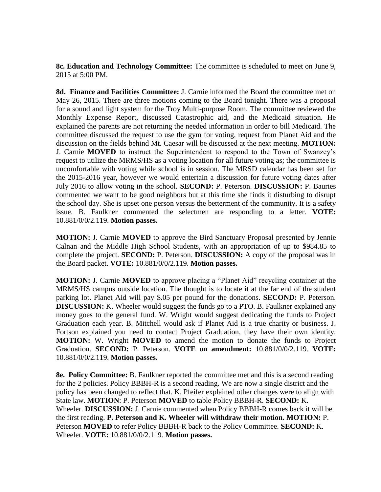**8c. Education and Technology Committee:** The committee is scheduled to meet on June 9, 2015 at 5:00 PM.

 **8d. Finance and Facilities Committee:** J. Carnie informed the Board the committee met on May 26, 2015. There are three motions coming to the Board tonight. There was a proposal for a sound and light system for the Troy Multi-purpose Room. The committee reviewed the Monthly Expense Report, discussed Catastrophic aid, and the Medicaid situation. He explained the parents are not returning the needed information in order to bill Medicaid. The committee discussed the request to use the gym for voting, request from Planet Aid and the discussion on the fields behind Mt. Caesar will be discussed at the next meeting. **MOTION:**  J. Carnie **MOVED** to instruct the Superintendent to respond to the Town of Swanzey's request to utilize the MRMS/HS as a voting location for all future voting as; the committee is uncomfortable with voting while school is in session. The MRSD calendar has been set for the 2015-2016 year, however we would entertain a discussion for future voting dates after July 2016 to allow voting in the school. **SECOND:** P. Peterson. **DISCUSSION:** P. Bauries commented we want to be good neighbors but at this time she finds it disturbing to disrupt the school day. She is upset one person versus the betterment of the community. It is a safety issue. B. Faulkner commented the selectmen are responding to a letter. **VOTE:**  10.881/0/0/2.119. **Motion passes.** 

**MOTION:** J. Carnie **MOVED** to approve the Bird Sanctuary Proposal presented by Jennie Calnan and the Middle High School Students, with an appropriation of up to \$984.85 to complete the project. **SECOND:** P. Peterson. **DISCUSSION:** A copy of the proposal was in the Board packet. **VOTE:** 10.881/0/0/2.119. **Motion passes.** 

**MOTION:** J. Carnie **MOVED** to approve placing a "Planet Aid" recycling container at the MRMS/HS campus outside location. The thought is to locate it at the far end of the student parking lot. Planet Aid will pay \$.05 per pound for the donations. **SECOND:** P. Peterson. **DISCUSSION:** K. Wheeler would suggest the funds go to a PTO. B. Faulkner explained any money goes to the general fund. W. Wright would suggest dedicating the funds to Project Graduation each year. B. Mitchell would ask if Planet Aid is a true charity or business. J. Fortson explained you need to contact Project Graduation, they have their own identity. **MOTION:** W. Wright **MOVED** to amend the motion to donate the funds to Project Graduation. **SECOND:** P. Peterson. **VOTE on amendment:** 10.881/0/0/2.119. **VOTE:**  10.881/0/0/2.119. **Motion passes.** 

**8e. Policy Committee:** B. Faulkner reported the committee met and this is a second reading for the 2 policies. Policy BBBH-R is a second reading. We are now a single district and the policy has been changed to reflect that. K. Pfeifer explained other changes were to align with State law. **MOTION**: P. Peterson **MOVED** to table Policy BBBH-R. **SECOND:** K. Wheeler. **DISCUSSION:** J. Carnie commented when Policy BBBH-R comes back it will be the first reading. **P. Peterson and K. Wheeler will withdraw their motion. MOTION:** P. Peterson **MOVED** to refer Policy BBBH-R back to the Policy Committee. **SECOND:** K. Wheeler. **VOTE:** 10.881/0/0/2.119. **Motion passes.**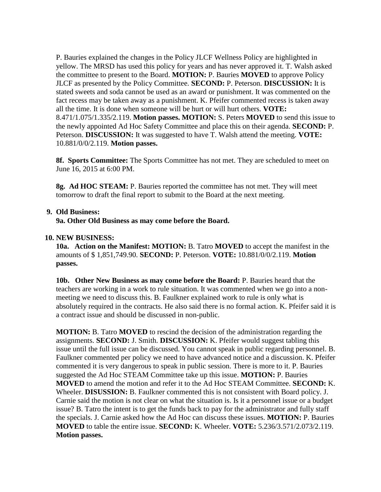P. Bauries explained the changes in the Policy JLCF Wellness Policy are highlighted in yellow. The MRSD has used this policy for years and has never approved it. T. Walsh asked the committee to present to the Board. **MOTION:** P. Bauries **MOVED** to approve Policy JLCF as presented by the Policy Committee. **SECOND:** P. Peterson. **DISCUSSION:** It is stated sweets and soda cannot be used as an award or punishment. It was commented on the fact recess may be taken away as a punishment. K. Pfeifer commented recess is taken away all the time. It is done when someone will be hurt or will hurt others. **VOTE:**  8.471/1.075/1.335/2.119. **Motion passes. MOTION:** S. Peters **MOVED** to send this issue to the newly appointed Ad Hoc Safety Committee and place this on their agenda. **SECOND:** P. Peterson. **DISCUSSION:** It was suggested to have T. Walsh attend the meeting. **VOTE:**  10.881/0/0/2.119. **Motion passes.** 

 **8f. Sports Committee:** The Sports Committee has not met. They are scheduled to meet on June 16, 2015 at 6:00 PM.

**8g. Ad HOC STEAM:** P. Bauries reported the committee has not met. They will meet tomorrow to draft the final report to submit to the Board at the next meeting.

#### **9. Old Business:**

**9a. Other Old Business as may come before the Board.** 

#### **10. NEW BUSINESS:**

**10a. Action on the Manifest: MOTION:** B. Tatro **MOVED** to accept the manifest in the amounts of \$ 1,851,749.90. **SECOND:** P. Peterson. **VOTE:** 10.881/0/0/2.119. **Motion passes.** 

**10b. Other New Business as may come before the Board:** P. Bauries heard that the teachers are working in a work to rule situation. It was commented when we go into a nonmeeting we need to discuss this. B. Faulkner explained work to rule is only what is absolutely required in the contracts. He also said there is no formal action. K. Pfeifer said it is a contract issue and should be discussed in non-public.

**MOTION:** B. Tatro **MOVED** to rescind the decision of the administration regarding the assignments. **SECOND:** J. Smith. **DISCUSSION:** K. Pfeifer would suggest tabling this issue until the full issue can be discussed. You cannot speak in public regarding personnel. B. Faulkner commented per policy we need to have advanced notice and a discussion. K. Pfeifer commented it is very dangerous to speak in public session. There is more to it. P. Bauries suggested the Ad Hoc STEAM Committee take up this issue. **MOTION:** P. Bauries **MOVED** to amend the motion and refer it to the Ad Hoc STEAM Committee. **SECOND:** K. Wheeler. **DISUSSION:** B. Faulkner commented this is not consistent with Board policy. J. Carnie said the motion is not clear on what the situation is. Is it a personnel issue or a budget issue? B. Tatro the intent is to get the funds back to pay for the administrator and fully staff the specials. J. Carnie asked how the Ad Hoc can discuss these issues. **MOTION:** P. Bauries **MOVED** to table the entire issue. **SECOND:** K. Wheeler. **VOTE:** 5.236/3.571/2.073/2.119. **Motion passes.**